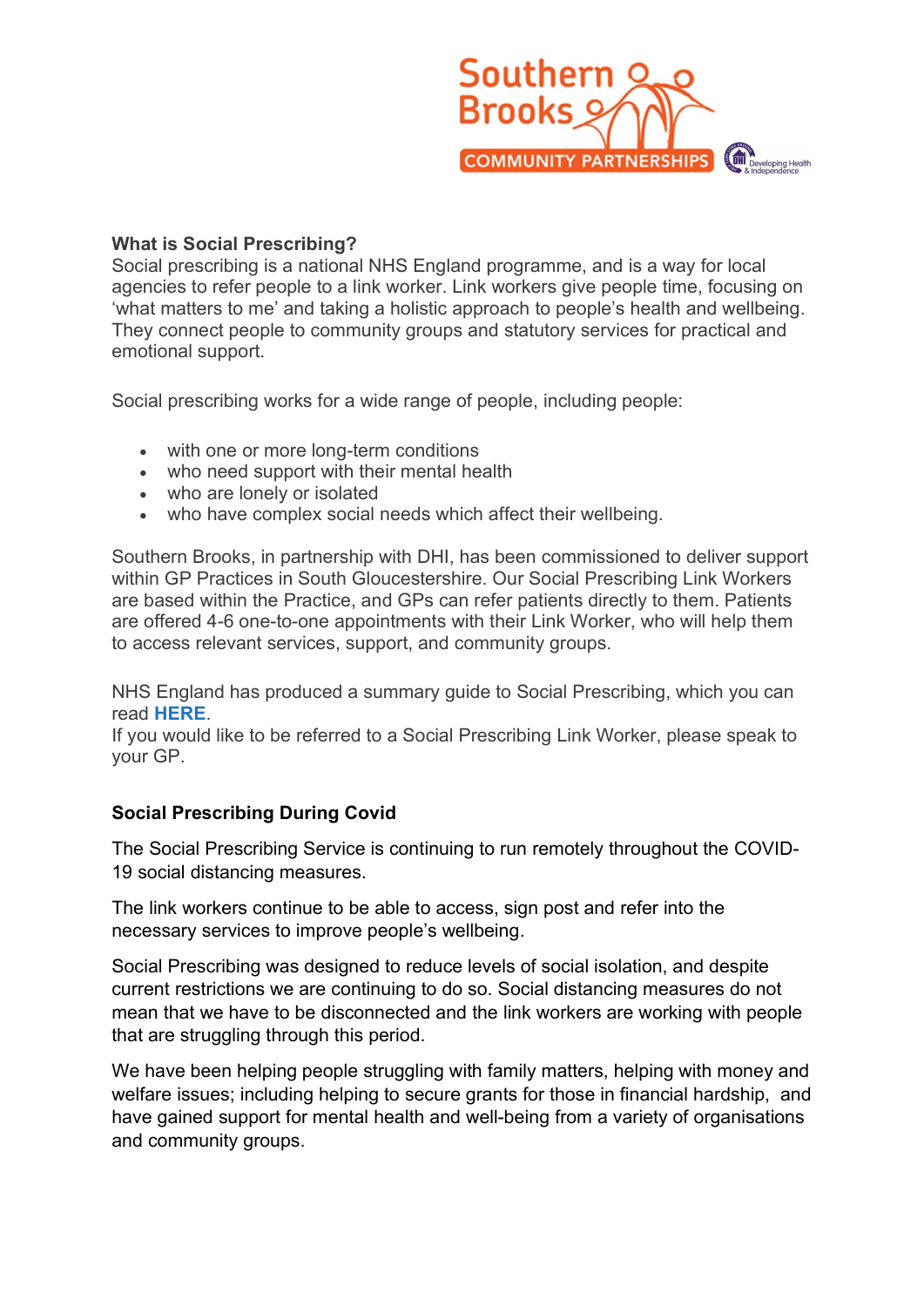

## What is Social Prescribing?

Social prescribing is a national NHS England programme, and is a way for local agencies to refer people to a link worker. Link workers give people time, focusing on 'what matters to me' and taking a holistic approach to people's health and wellbeing. They connect people to community groups and statutory services for practical and emotional support.

Social prescribing works for a wide range of people, including people:

- with one or more long-term conditions
- who need support with their mental health
- who are lonely or isolated
- who have complex social needs which affect their wellbeing.

Southern Brooks, in partnership with DHI, has been commissioned to deliver support within GP Practices in South Gloucestershire. Our Social Prescribing Link Workers are based within the Practice, and GPs can refer patients directly to them. Patients are offered 4-6 one-to-one appointments with their Link Worker, who will help them to access relevant services, support, and community groups.

NHS England has produced a summary guide to Social Prescribing, which you can read HERE.

If you would like to be referred to a Social Prescribing Link Worker, please speak to your GP.

## Social Prescribing During Covid

The Social Prescribing Service is continuing to run remotely throughout the COVID-19 social distancing measures.

The link workers continue to be able to access, sign post and refer into the necessary services to improve people's wellbeing.

Social Prescribing was designed to reduce levels of social isolation, and despite current restrictions we are continuing to do so. Social distancing measures do not mean that we have to be disconnected and the link workers are working with people that are struggling through this period.

We have been helping people struggling with family matters, helping with money and welfare issues; including helping to secure grants for those in financial hardship, and have gained support for mental health and well-being from a variety of organisations and community groups.